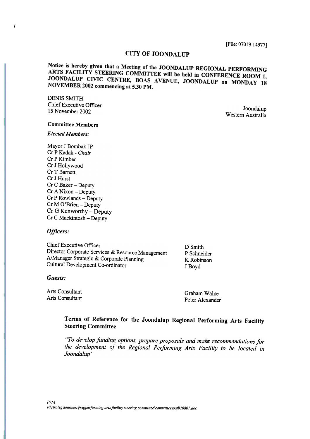## CITY OF JOONDALUP

Notice is hereby given that a Meeting of the JOONDALUP REGIONAL PERFORMING ARTS FACILITY STEERING COMMITTEE will be held in CONFERENCE ROOM 1, JOONDALUP CIVIC CENTRE, BOAS AVENUE, JOONDALUP on MONDAY 18 NOVEMBER 2002 commencing at 5.30 PM.

DENIS SMITH Chief Executive Officer 15 November 2002 Joondalup

Western Australia

## Committee Members

## Elected Members:

Mayor J Bombak JP Cr P Kadak - Chair Cr P Kimber Cr J Hollywood Cr T Barnett Cr J Hurst  $Cr C$  Baker – Deputy Cr A Nixon - Deputy Cr P Rowlands - Deputy Cr M O'Brien - Deputy  $Cr G$  Kenworthy - Deputy Cr C Mackintosh - Deputy

#### Officers:

Chief Executive Officer Director Corporate Services & Resource Management A/Manager Strategic & Corporate Planning Cultural Development Co-ordinator

D Smith P Schneider K Robinson J Boyd

#### Guests:

Arts Consultant Arts Consultant

Graham Walne Peter Alexander

## Terms of Reference for the Joondalup Regional Performing Arts Facility Steering Committee

"To develop funding options, prepare proposals and make recommendations for the development of the Regional Performing Arts Facility to be located in Joondalup "